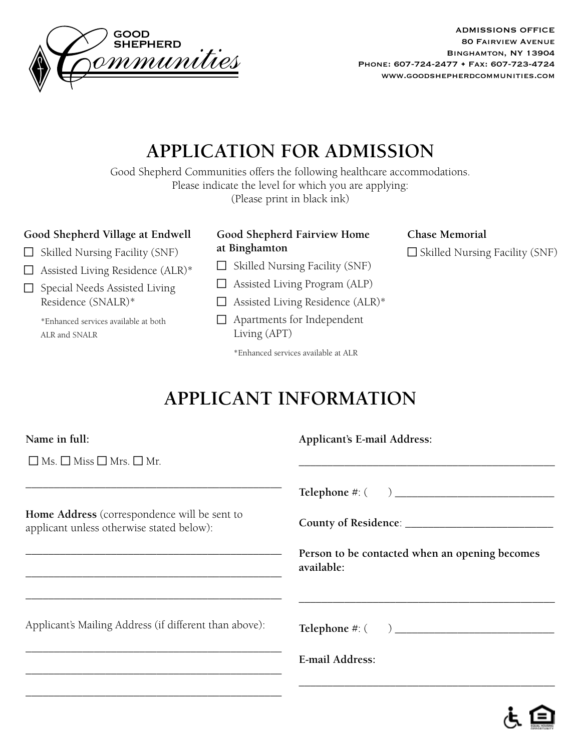

ADMISSIONS OFFICE 80 Fairview Avenue Binghamton, NY 13904 Phone: 607-724-2477 • Fax: 607-723-4724 www.goodshepherdcommunities.com

# **APPLICATION FOR ADMISSION**

Good Shepherd Communities offers the following healthcare accommodations. Please indicate the level for which you are applying: (Please print in black ink)

#### **Good Shepherd Village at Endwell**

- $\Box$  Skilled Nursing Facility (SNF)
- $\Box$  Assisted Living Residence (ALR)\*
- $\Box$  Special Needs Assisted Living Residence (SNALR)\*

\*Enhanced services available at both ALR and SNALR

| Good Shepherd Fairview Home |  |
|-----------------------------|--|
| at Binghamton               |  |

- $\Box$  Skilled Nursing Facility (SNF)
- $\Box$  Assisted Living Program (ALP)
- $\Box$  Assisted Living Residence (ALR)\*
- $\Box$  Apartments for Independent Living (APT)

\*Enhanced services available at ALR

### **Chase Memorial**  $\Box$  Skilled Nursing Facility (SNF)

# **APPLICANT INFORMATION**

| Name in full:                                                                             | <b>Applicant's E-mail Address:</b>                           |
|-------------------------------------------------------------------------------------------|--------------------------------------------------------------|
| $\Box$ Ms. $\Box$ Miss $\Box$ Mrs. $\Box$ Mr.                                             |                                                              |
|                                                                                           |                                                              |
| Home Address (correspondence will be sent to<br>applicant unless otherwise stated below): |                                                              |
|                                                                                           | Person to be contacted when an opening becomes<br>available: |
|                                                                                           |                                                              |
| Applicant's Mailing Address (if different than above):                                    |                                                              |
|                                                                                           | E-mail Address:                                              |
|                                                                                           |                                                              |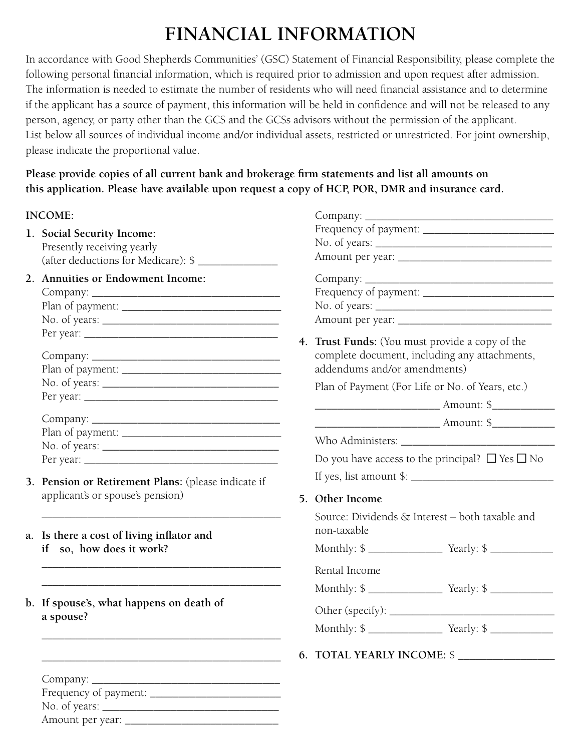# **FINANCIAL INFORMATION**

In accordance with Good Shepherds Communities' (GSC) Statement of Financial Responsibility, please complete the following personal financial information, which is required prior to admission and upon request after admission. The information is needed to estimate the number of residents who will need financial assistance and to determine if the applicant has a source of payment, this information will be held in confidence and will not be released to any person, agency, or party other than the GCS and the GCSs advisors without the permission of the applicant. List below all sources of individual income and/or individual assets, restricted or unrestricted. For joint ownership, please indicate the proportional value.

**Please provide copies of all current bank and brokerage firm statements and list all amounts on this application. Please have available upon request a copy of HCP, POR, DMR and insurance card.**

#### **INCOME:**

- **1. Social Security Income:** Presently receiving yearly (after deductions for Medicare): \$ \_\_\_\_\_\_\_\_\_\_\_\_\_\_
- **2. Annuities or Endowment Income:** Company: \_\_\_\_\_\_\_\_\_\_\_\_\_\_\_\_\_\_\_\_\_\_\_\_\_\_\_\_\_\_\_\_\_ Plan of payment: \_\_\_\_\_\_\_\_\_\_\_\_\_\_\_\_\_\_\_\_\_\_\_\_\_\_\_\_  $N_{\alpha}$  of years:

| $180.$ Of years. $\_\_$ |
|-------------------------|
| Per year:               |
|                         |
| Company: ______         |
| Plan of payment: ______ |
|                         |
| Per year: $\_\_$        |

Company:  $Plan$  of nayment:

| Plan of payment: |  |
|------------------|--|
| No. of years:    |  |
| Per year:        |  |
|                  |  |

\_\_\_\_\_\_\_\_\_\_\_\_\_\_\_\_\_\_\_\_\_\_\_\_\_\_\_\_\_\_\_\_\_\_\_\_\_\_\_\_\_\_

\_\_\_\_\_\_\_\_\_\_\_\_\_\_\_\_\_\_\_\_\_\_\_\_\_\_\_\_\_\_\_\_\_\_\_\_\_\_\_\_\_\_ \_\_\_\_\_\_\_\_\_\_\_\_\_\_\_\_\_\_\_\_\_\_\_\_\_\_\_\_\_\_\_\_\_\_\_\_\_\_\_\_\_\_

\_\_\_\_\_\_\_\_\_\_\_\_\_\_\_\_\_\_\_\_\_\_\_\_\_\_\_\_\_\_\_\_\_\_\_\_\_\_\_\_\_\_

\_\_\_\_\_\_\_\_\_\_\_\_\_\_\_\_\_\_\_\_\_\_\_\_\_\_\_\_\_\_\_\_\_\_\_\_\_\_\_\_\_\_

- **3. Pension or Retirement Plans:** (please indicate if applicant's or spouse's pension)
- **a. Is there a cost of living inflator and if so, how does it work?**
- **b. If spouse's, what happens on death of a spouse?**

| $Company: \_\_\_\_\_\_\_\_\_\_\_\_\_\_\_\_\_\_\_$ |
|---------------------------------------------------|
| Frequency of payment: _____                       |
| No. of years: $\frac{\ }{\ }$                     |
| Amount per year: _                                |

| 4. | Trust Funds: (You must provide a copy of the<br>complete document, including any attachments,<br>addendums and/or amendments) |  |
|----|-------------------------------------------------------------------------------------------------------------------------------|--|
|    | Plan of Payment (For Life or No. of Years, etc.)                                                                              |  |
|    |                                                                                                                               |  |
|    |                                                                                                                               |  |
|    |                                                                                                                               |  |
|    | Do you have access to the principal? $\Box$ Yes $\Box$ No<br>If yes, list amount $\frac{1}{2}$ :                              |  |
|    |                                                                                                                               |  |
|    | 5. Other Income<br>Source: Dividends & Interest - both taxable and<br>non-taxable                                             |  |
|    |                                                                                                                               |  |
|    | Rental Income                                                                                                                 |  |
|    |                                                                                                                               |  |
|    |                                                                                                                               |  |
|    |                                                                                                                               |  |
|    | 6. TOTAL YEARLY INCOME: \$                                                                                                    |  |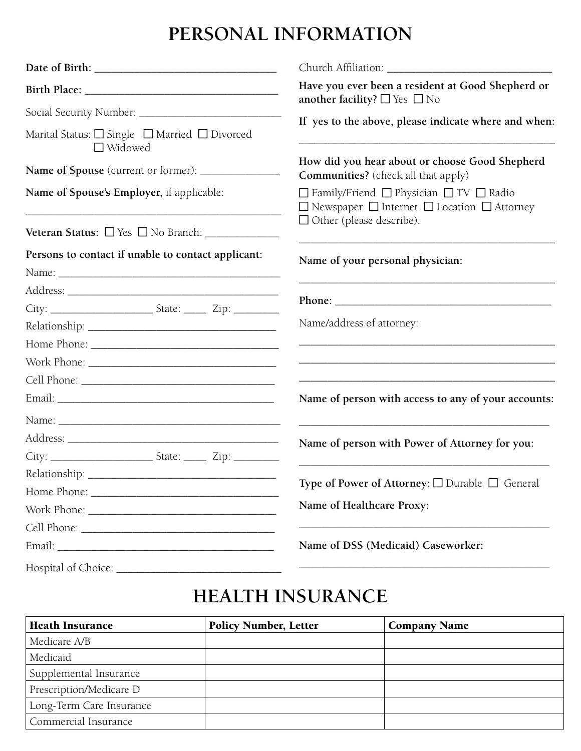### **PERSONAL INFORMATION**

|                                                                                  | Have you ever been a resident at Good Shepherd or<br>another facility? $\Box$ Yes $\Box$ No                  |
|----------------------------------------------------------------------------------|--------------------------------------------------------------------------------------------------------------|
|                                                                                  |                                                                                                              |
| Marital Status: $\Box$ Single $\Box$ Married $\Box$ Divorced<br>$\Box$ Widowed   | If yes to the above, please indicate where and when:                                                         |
| Name of Spouse (current or former): ______________                               | How did you hear about or choose Good Shepherd<br><b>Communities?</b> (check all that apply)                 |
| Name of Spouse's Employer, if applicable:                                        | □ Family/Friend □ Physician □ TV □ Radio<br>$\Box$ Newspaper $\Box$ Internet $\Box$ Location $\Box$ Attorney |
| Veteran Status: Ves No Branch: _____________                                     | $\Box$ Other (please describe):                                                                              |
| Persons to contact if unable to contact applicant:                               | Name of your personal physician:                                                                             |
|                                                                                  |                                                                                                              |
|                                                                                  |                                                                                                              |
|                                                                                  |                                                                                                              |
|                                                                                  | Name/address of attorney:                                                                                    |
|                                                                                  | <u> 1989 - Johann Stoff, amerikansk politiker (* 1908)</u>                                                   |
|                                                                                  |                                                                                                              |
|                                                                                  |                                                                                                              |
|                                                                                  | Name of person with access to any of your accounts:                                                          |
|                                                                                  |                                                                                                              |
|                                                                                  | Name of person with Power of Attorney for you:                                                               |
| City: ____________________________State: _________ Zip: ________________________ |                                                                                                              |
|                                                                                  |                                                                                                              |
|                                                                                  | Type of Power of Attorney: □ Durable □ General                                                               |
|                                                                                  | Name of Healthcare Proxy:                                                                                    |
|                                                                                  |                                                                                                              |
|                                                                                  | Name of DSS (Medicaid) Caseworker:                                                                           |
|                                                                                  |                                                                                                              |

## **HEALTH INSURANCE**

| <b>Heath Insurance</b>   | <b>Policy Number, Letter</b> | <b>Company Name</b> |
|--------------------------|------------------------------|---------------------|
| Medicare A/B             |                              |                     |
| Medicaid                 |                              |                     |
| Supplemental Insurance   |                              |                     |
| Prescription/Medicare D  |                              |                     |
| Long-Term Care Insurance |                              |                     |
| Commercial Insurance     |                              |                     |